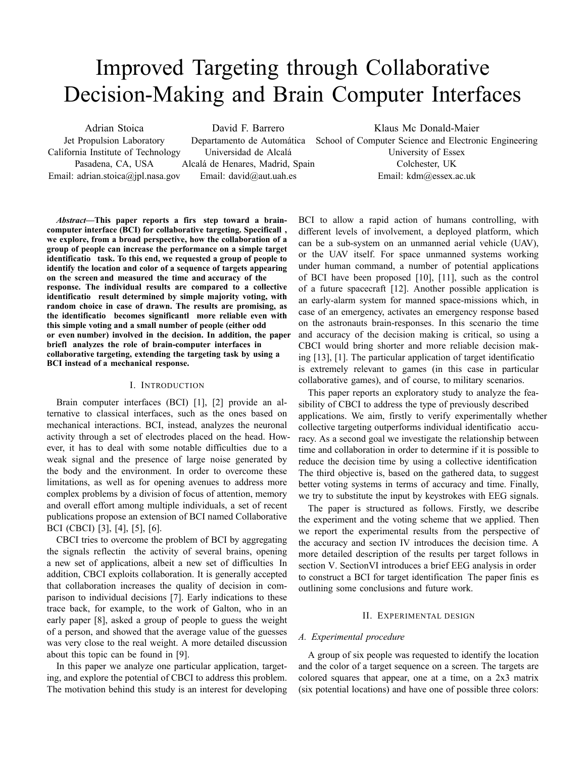# Improved Targeting through Collaborative Decision-Making and Brain Computer Interfaces

Adrian Stoica Jet Propulsion Laboratory California Institute of Technology Pasadena, CA, USA Email: adrian.stoica@jpl.nasa.gov David F. Barrero

Universidad de Alcala´ Alcala de Henares, Madrid, Spain ´ Email: david@aut.uah.es

Klaus Mc Donald-Maier

Departamento de Automática School of Computer Science and Electronic Engineering University of Essex Colchester, UK Email: kdm@essex.ac.uk

*Abstract***—This paper reports a firs step toward a braincomputer interface (BCI) for collaborative targeting. Specificall , we explore, from a broad perspective, how the collaboration of a group of people can increase the performance on a simple target identificatio task. To this end, we requested a group of people to identify the location and color of a sequence of targets appearing on the screen and measured the time and accuracy of the response. The individual results are compared to a collective identificatio result determined by simple majority voting, with random choice in case of drawn. The results are promising, as the identificatio becomes significantl more reliable even with this simple voting and a small number of people (either odd or even number) involved in the decision. In addition, the paper briefl analyzes the role of brain-computer interfaces in collaborative targeting, extending the targeting task by using a BCI instead of a mechanical response.**

## I. INTRODUCTION

Brain computer interfaces (BCI) [1], [2] provide an alternative to classical interfaces, such as the ones based on mechanical interactions. BCI, instead, analyzes the neuronal activity through a set of electrodes placed on the head. However, it has to deal with some notable difficulties due to a weak signal and the presence of large noise generated by the body and the environment. In order to overcome these limitations, as well as for opening avenues to address more complex problems by a division of focus of attention, memory and overall effort among multiple individuals, a set of recent publications propose an extension of BCI named Collaborative BCI (CBCI) [3], [4], [5], [6].

CBCI tries to overcome the problem of BCI by aggregating the signals reflectin the activity of several brains, opening a new set of applications, albeit a new set of difficulties In addition, CBCI exploits collaboration. It is generally accepted that collaboration increases the quality of decision in comparison to individual decisions [7]. Early indications to these trace back, for example, to the work of Galton, who in an early paper [8], asked a group of people to guess the weight of a person, and showed that the average value of the guesses was very close to the real weight. A more detailed discussion about this topic can be found in [9].

In this paper we analyze one particular application, targeting, and explore the potential of CBCI to address this problem. The motivation behind this study is an interest for developing BCI to allow a rapid action of humans controlling, with different levels of involvement, a deployed platform, which can be a sub-system on an unmanned aerial vehicle (UAV), or the UAV itself. For space unmanned systems working under human command, a number of potential applications of BCI have been proposed [10], [11], such as the control of a future spacecraft [12]. Another possible application is an early-alarm system for manned space-missions which, in case of an emergency, activates an emergency response based on the astronauts brain-responses. In this scenario the time and accuracy of the decision making is critical, so using a CBCI would bring shorter and more reliable decision making [13], [1]. The particular application of target identificatio is extremely relevant to games (in this case in particular collaborative games), and of course, to military scenarios.

This paper reports an exploratory study to analyze the feasibility of CBCI to address the type of previously described applications. We aim, firstly to verify experimentally whether collective targeting outperforms individual identificatio accuracy. As a second goal we investigate the relationship between time and collaboration in order to determine if it is possible to reduce the decision time by using a collective identification The third objective is, based on the gathered data, to suggest better voting systems in terms of accuracy and time. Finally, we try to substitute the input by keystrokes with EEG signals.

The paper is structured as follows. Firstly, we describe the experiment and the voting scheme that we applied. Then we report the experimental results from the perspective of the accuracy and section IV introduces the decision time. A more detailed description of the results per target follows in section V. SectionVI introduces a brief EEG analysis in order to construct a BCI for target identification The paper finis es outlining some conclusions and future work.

#### II. EXPERIMENTAL DESIGN

## *A. Experimental procedure*

A group of six people was requested to identify the location and the color of a target sequence on a screen. The targets are colored squares that appear, one at a time, on a 2x3 matrix (six potential locations) and have one of possible three colors: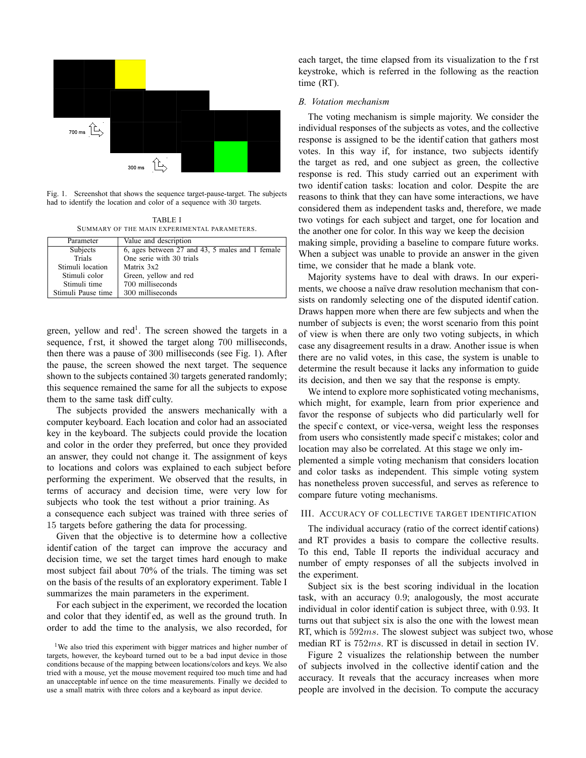

Fig. 1. Screenshot that shows the sequence target-pause-target. The subjects had to identify the location and color of a sequence with 30 targets.

TABLE I SUMMARY OF THE MAIN EXPERIMENTAL PARAMETERS.

| Parameter          | Value and description                           |
|--------------------|-------------------------------------------------|
| Subjects           | 6, ages between 27 and 43, 5 males and 1 female |
| Trials             | One serie with 30 trials                        |
| Stimuli location   | Matrix 3x2                                      |
| Stimuli color      | Green, yellow and red                           |
| Stimuli time       | 700 milliseconds                                |
| Stimuli Pause time | 300 milliseconds                                |

green, yellow and red<sup>1</sup>. The screen showed the targets in a sequence, f rst, it showed the target along 700 milliseconds, then there was a pause of 300 milliseconds (see Fig. 1). After the pause, the screen showed the next target. The sequence shown to the subjects contained 30 targets generated randomly; this sequence remained the same for all the subjects to expose them to the same task diff culty.

The subjects provided the answers mechanically with a computer keyboard. Each location and color had an associated key in the keyboard. The subjects could provide the location and color in the order they preferred, but once they provided an answer, they could not change it. The assignment of keys to locations and colors was explained to each subject before performing the experiment. We observed that the results, in terms of accuracy and decision time, were very low for subjects who took the test without a prior training. As a consequence each subject was trained with three series of

15 targets before gathering the data for processing.

Given that the objective is to determine how a collective identif cation of the target can improve the accuracy and decision time, we set the target times hard enough to make most subject fail about 70% of the trials. The timing was set on the basis of the results of an exploratory experiment. Table I summarizes the main parameters in the experiment.

For each subject in the experiment, we recorded the location and color that they identif ed, as well as the ground truth. In order to add the time to the analysis, we also recorded, for

each target, the time elapsed from its visualization to the f rst keystroke, which is referred in the following as the reaction time (RT).

## *B. Votation mechanism*

The voting mechanism is simple majority. We consider the individual responses of the subjects as votes, and the collective response is assigned to be the identif cation that gathers most votes. In this way if, for instance, two subjects identify the target as red, and one subject as green, the collective response is red. This study carried out an experiment with two identif cation tasks: location and color. Despite the are reasons to think that they can have some interactions, we have considered them as independent tasks and, therefore, we made two votings for each subject and target, one for location and the another one for color. In this way we keep the decision making simple, providing a baseline to compare future works. When a subject was unable to provide an answer in the given time, we consider that he made a blank vote.

Majority systems have to deal with draws. In our experiments, we choose a naïve draw resolution mechanism that consists on randomly selecting one of the disputed identif cation. Draws happen more when there are few subjects and when the number of subjects is even; the worst scenario from this point of view is when there are only two voting subjects, in which case any disagreement results in a draw. Another issue is when there are no valid votes, in this case, the system is unable to determine the result because it lacks any information to guide its decision, and then we say that the response is empty.

We intend to explore more sophisticated voting mechanisms, which might, for example, learn from prior experience and favor the response of subjects who did particularly well for the specif c context, or vice-versa, weight less the responses from users who consistently made specif c mistakes; color and location may also be correlated. At this stage we only implemented a simple voting mechanism that considers location and color tasks as independent. This simple voting system has nonetheless proven successful, and serves as reference to compare future voting mechanisms.

# III. ACCURACY OF COLLECTIVE TARGET IDENTIFICATION

The individual accuracy (ratio of the correct identif cations) and RT provides a basis to compare the collective results. To this end, Table II reports the individual accuracy and number of empty responses of all the subjects involved in the experiment.

Subject six is the best scoring individual in the location task, with an accuracy 0.9; analogously, the most accurate individual in color identif cation is subject three, with 0.93. It turns out that subject six is also the one with the lowest mean RT, which is 592ms. The slowest subject was subject two, whose median RT is 752ms. RT is discussed in detail in section IV.

Figure 2 visualizes the relationship between the number of subjects involved in the collective identif cation and the accuracy. It reveals that the accuracy increases when more people are involved in the decision. To compute the accuracy

<sup>&</sup>lt;sup>1</sup>We also tried this experiment with bigger matrices and higher number of targets, however, the keyboard turned out to be a bad input device in those conditions because of the mapping between locations/colors and keys. We also tried with a mouse, yet the mouse movement required too much time and had an unacceptable inf uence on the time measurements. Finally we decided to use a small matrix with three colors and a keyboard as input device.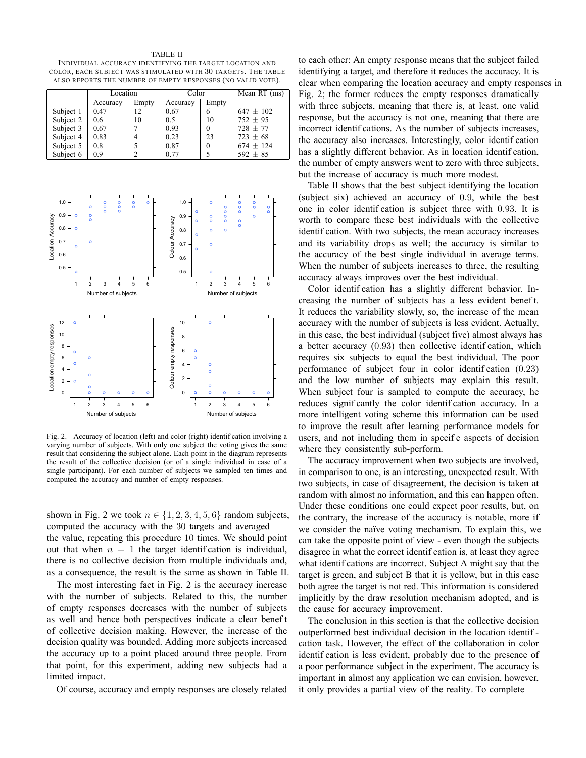### TABLE II

INDIVIDUAL ACCURACY IDENTIFYING THE TARGET LOCATION AND COLOR, EACH SUBJECT WAS STIMULATED WITH 30 TARGETS. THE TABLE ALSO REPORTS THE NUMBER OF EMPTY RESPONSES (NO VALID VOTE).

|           | Location |       | Color    |          | Mean RT (ms)  |
|-----------|----------|-------|----------|----------|---------------|
|           | Accuracy | Empty | Accuracy | Empty    |               |
| Subject 1 | 0.47     | 12    | 0.67     | o        | $647 \pm 102$ |
| Subject 2 | 0.6      | 10    | 0.5      | 10       | $752 \pm 95$  |
| Subject 3 | 0.67     |       | 0.93     | $\theta$ | $728 \pm 77$  |
| Subject 4 | 0.83     |       | 0.23     | 23       | $723 \pm 68$  |
| Subject 5 | 0.8      |       | 0.87     | $\theta$ | $674 \pm 124$ |
| Subject 6 | 0.9      |       | 0.77     |          | $592 \pm 85$  |



Fig. 2. Accuracy of location (left) and color (right) identif cation involving a varying number of subjects. With only one subject the voting gives the same result that considering the subject alone. Each point in the diagram represents the result of the collective decision (or of a single individual in case of a single participant). For each number of subjects we sampled ten times and computed the accuracy and number of empty responses.

shown in Fig. 2 we took  $n \in \{1, 2, 3, 4, 5, 6\}$  random subjects, computed the accuracy with the 30 targets and averaged the value, repeating this procedure 10 times. We should point out that when  $n = 1$  the target identification is individual, there is no collective decision from multiple individuals and, as a consequence, the result is the same as shown in Table II.

The most interesting fact in Fig. 2 is the accuracy increase with the number of subjects. Related to this, the number of empty responses decreases with the number of subjects as well and hence both perspectives indicate a clear benef t of collective decision making. However, the increase of the decision quality was bounded. Adding more subjects increased the accuracy up to a point placed around three people. From that point, for this experiment, adding new subjects had a limited impact.

Of course, accuracy and empty responses are closely related

to each other: An empty response means that the subject failed identifying a target, and therefore it reduces the accuracy. It is clear when comparing the location accuracy and empty responses in Fig. 2; the former reduces the empty responses dramatically with three subjects, meaning that there is, at least, one valid response, but the accuracy is not one, meaning that there are incorrect identif cations. As the number of subjects increases, the accuracy also increases. Interestingly, color identif cation has a slightly different behavior. As in location identif cation, the number of empty answers went to zero with three subjects, but the increase of accuracy is much more modest.

Table II shows that the best subject identifying the location (subject six) achieved an accuracy of 0.9, while the best one in color identif cation is subject three with 0.93. It is worth to compare these best individuals with the collective identif cation. With two subjects, the mean accuracy increases and its variability drops as well; the accuracy is similar to the accuracy of the best single individual in average terms. When the number of subjects increases to three, the resulting accuracy always improves over the best individual.

Color identif cation has a slightly different behavior. Increasing the number of subjects has a less evident benef t. It reduces the variability slowly, so, the increase of the mean accuracy with the number of subjects is less evident. Actually, in this case, the best individual (subject five) almost always has a better accuracy (0.93) then collective identif cation, which requires six subjects to equal the best individual. The poor performance of subject four in color identif cation (0.23) and the low number of subjects may explain this result. When subject four is sampled to compute the accuracy, he reduces signif cantly the color identif cation accuracy. In a more intelligent voting scheme this information can be used to improve the result after learning performance models for users, and not including them in specif c aspects of decision where they consistently sub-perform.

The accuracy improvement when two subjects are involved, in comparison to one, is an interesting, unexpected result. With two subjects, in case of disagreement, the decision is taken at random with almost no information, and this can happen often. Under these conditions one could expect poor results, but, on the contrary, the increase of the accuracy is notable, more if we consider the naïve voting mechanism. To explain this, we can take the opposite point of view - even though the subjects disagree in what the correct identif cation is, at least they agree what identif cations are incorrect. Subject A might say that the target is green, and subject B that it is yellow, but in this case both agree the target is not red. This information is considered implicitly by the draw resolution mechanism adopted, and is the cause for accuracy improvement.

The conclusion in this section is that the collective decision outperformed best individual decision in the location identif cation task. However, the effect of the collaboration in color identif cation is less evident, probably due to the presence of a poor performance subject in the experiment. The accuracy is important in almost any application we can envision, however, it only provides a partial view of the reality. To complete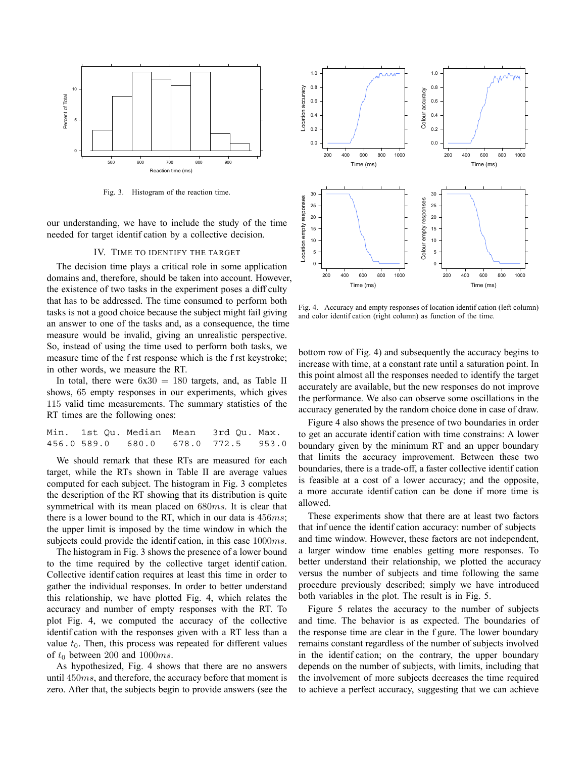

Fig. 3. Histogram of the reaction time.

our understanding, we have to include the study of the time needed for target identif cation by a collective decision.

## IV. TIME TO IDENTIFY THE TARGET

The decision time plays a critical role in some application domains and, therefore, should be taken into account. However, the existence of two tasks in the experiment poses a diff culty that has to be addressed. The time consumed to perform both tasks is not a good choice because the subject might fail giving an answer to one of the tasks and, as a consequence, the time measure would be invalid, giving an unrealistic perspective. So, instead of using the time used to perform both tasks, we measure time of the f rst response which is the f rst keystroke; in other words, we measure the RT.

In total, there were  $6x30 = 180$  targets, and, as Table II shows, 65 empty responses in our experiments, which gives 115 valid time measurements. The summary statistics of the RT times are the following ones:

|  |  | Min. 1st Ou. Median Mean 3rd Ou. Max. |  |
|--|--|---------------------------------------|--|
|  |  | 456.0 589.0 680.0 678.0 772.5 953.0   |  |

We should remark that these RTs are measured for each target, while the RTs shown in Table II are average values computed for each subject. The histogram in Fig. 3 completes the description of the RT showing that its distribution is quite symmetrical with its mean placed on 680ms. It is clear that there is a lower bound to the RT, which in our data is  $456ms$ ; the upper limit is imposed by the time window in which the subjects could provide the identif cation, in this case  $1000ms$ .

The histogram in Fig. 3 shows the presence of a lower bound to the time required by the collective target identif cation. Collective identif cation requires at least this time in order to gather the individual responses. In order to better understand this relationship, we have plotted Fig. 4, which relates the accuracy and number of empty responses with the RT. To plot Fig. 4, we computed the accuracy of the collective identif cation with the responses given with a RT less than a value  $t_0$ . Then, this process was repeated for different values of  $t_0$  between 200 and 1000 $ms$ .

As hypothesized, Fig. 4 shows that there are no answers until 450ms, and therefore, the accuracy before that moment is zero. After that, the subjects begin to provide answers (see the



Fig. 4. Accuracy and empty responses of location identif cation (left column) and color identif cation (right column) as function of the time.

bottom row of Fig. 4) and subsequently the accuracy begins to increase with time, at a constant rate until a saturation point. In this point almost all the responses needed to identify the target accurately are available, but the new responses do not improve the performance. We also can observe some oscillations in the accuracy generated by the random choice done in case of draw.

Figure 4 also shows the presence of two boundaries in order to get an accurate identif cation with time constrains: A lower boundary given by the minimum RT and an upper boundary that limits the accuracy improvement. Between these two boundaries, there is a trade-off, a faster collective identif cation is feasible at a cost of a lower accuracy; and the opposite, a more accurate identif cation can be done if more time is allowed.

These experiments show that there are at least two factors that inf uence the identif cation accuracy: number of subjects and time window. However, these factors are not independent, a larger window time enables getting more responses. To better understand their relationship, we plotted the accuracy versus the number of subjects and time following the same procedure previously described; simply we have introduced both variables in the plot. The result is in Fig. 5.

Figure 5 relates the accuracy to the number of subjects and time. The behavior is as expected. The boundaries of the response time are clear in the f gure. The lower boundary remains constant regardless of the number of subjects involved in the identif cation; on the contrary, the upper boundary depends on the number of subjects, with limits, including that the involvement of more subjects decreases the time required to achieve a perfect accuracy, suggesting that we can achieve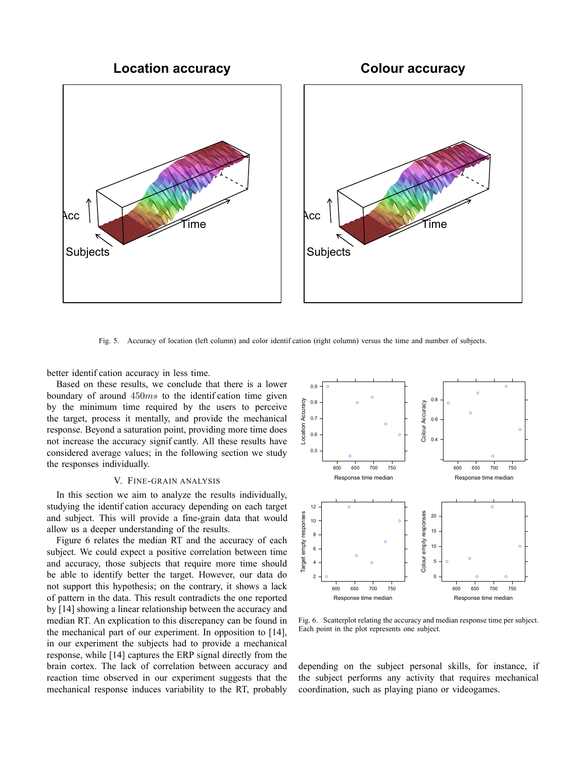# **Location accuracy**

# **Colour accuracy**





Fig. 5. Accuracy of location (left column) and color identif cation (right column) versus the time and number of subjects.

better identif cation accuracy in less time.

Based on these results, we conclude that there is a lower boundary of around 450ms to the identif cation time given by the minimum time required by the users to perceive the target, process it mentally, and provide the mechanical response. Beyond a saturation point, providing more time does not increase the accuracy signif cantly. All these results have considered average values; in the following section we study the responses individually.

## V. FINE-GRAIN ANALYSIS

In this section we aim to analyze the results individually, studying the identif cation accuracy depending on each target and subject. This will provide a fine-grain data that would allow us a deeper understanding of the results.

Figure 6 relates the median RT and the accuracy of each subject. We could expect a positive correlation between time and accuracy, those subjects that require more time should be able to identify better the target. However, our data do not support this hypothesis; on the contrary, it shows a lack of pattern in the data. This result contradicts the one reported by [14] showing a linear relationship between the accuracy and median RT. An explication to this discrepancy can be found in the mechanical part of our experiment. In opposition to [14], in our experiment the subjects had to provide a mechanical response, while [14] captures the ERP signal directly from the brain cortex. The lack of correlation between accuracy and reaction time observed in our experiment suggests that the mechanical response induces variability to the RT, probably



Fig. 6. Scatterplot relating the accuracy and median response time per subject. Each point in the plot represents one subject.

depending on the subject personal skills, for instance, if the subject performs any activity that requires mechanical coordination, such as playing piano or videogames.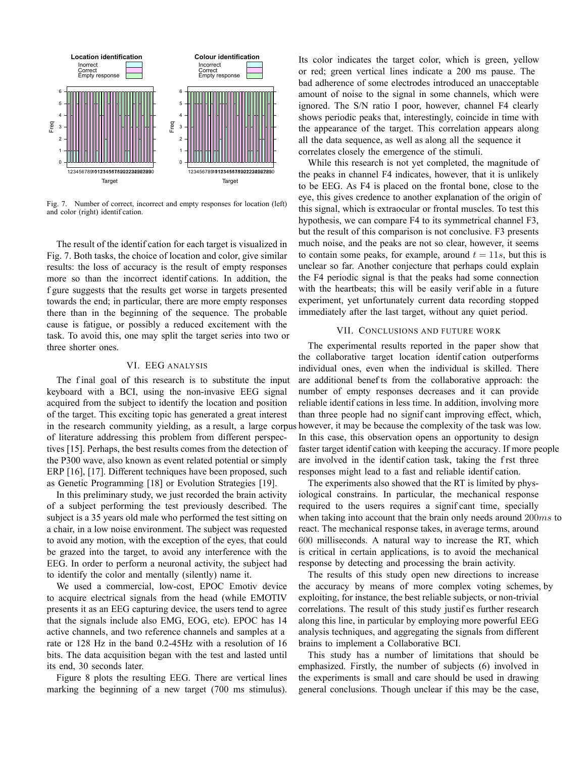

Fig. 7. Number of correct, incorrect and empty responses for location (left) and color (right) identif cation.

The result of the identif cation for each target is visualized in Fig. 7. Both tasks, the choice of location and color, give similar results: the loss of accuracy is the result of empty responses more so than the incorrect identif cations. In addition, the f gure suggests that the results get worse in targets presented towards the end; in particular, there are more empty responses there than in the beginning of the sequence. The probable cause is fatigue, or possibly a reduced excitement with the task. To avoid this, one may split the target series into two or three shorter ones.

## VI. EEG ANALYSIS

The f inal goal of this research is to substitute the input keyboard with a BCI, using the non-invasive EEG signal acquired from the subject to identify the location and position of the target. This exciting topic has generated a great interest in the research community yielding, as a result, a large corpu of literature addressing this problem from different perspectives [15]. Perhaps, the best results comes from the detection of the P300 wave, also known as event related potential or simply ERP [16], [17]. Different techniques have been proposed, such as Genetic Programming [18] or Evolution Strategies [19].

In this preliminary study, we just recorded the brain activity of a subject performing the test previously described. The subject is a 35 years old male who performed the test sitting on a chair, in a low noise environment. The subject was requested to avoid any motion, with the exception of the eyes, that could be grazed into the target, to avoid any interference with the EEG. In order to perform a neuronal activity, the subject had to identify the color and mentally (silently) name it.

We used a commercial, low-cost, EPOC Emotiv device to acquire electrical signals from the head (while EMOTIV presents it as an EEG capturing device, the users tend to agree that the signals include also EMG, EOG, etc). EPOC has 14 active channels, and two reference channels and samples at a rate or 128 Hz in the band 0.2-45Hz with a resolution of 16 bits. The data acquisition began with the test and lasted until its end, 30 seconds later.

Figure 8 plots the resulting EEG. There are vertical lines marking the beginning of a new target (700 ms stimulus). Its color indicates the target color, which is green, yellow or red; green vertical lines indicate a 200 ms pause. The bad adherence of some electrodes introduced an unacceptable amount of noise to the signal in some channels, which were ignored. The S/N ratio I poor, however, channel F4 clearly shows periodic peaks that, interestingly, coincide in time with the appearance of the target. This correlation appears along all the data sequence, as well as along all the sequence it correlates closely the emergence of the stimuli.

While this research is not yet completed, the magnitude of the peaks in channel F4 indicates, however, that it is unlikely to be EEG. As F4 is placed on the frontal bone, close to the eye, this gives credence to another explanation of the origin of this signal, which is extraocular or frontal muscles. To test this hypothesis, we can compare F4 to its symmetrical channel F3, but the result of this comparison is not conclusive. F3 presents much noise, and the peaks are not so clear, however, it seems to contain some peaks, for example, around  $t = 11s$ , but this is unclear so far. Another conjecture that perhaps could explain the F4 periodic signal is that the peaks had some connection with the heartbeats; this will be easily verif able in a future experiment, yet unfortunately current data recording stopped immediately after the last target, without any quiet period.

## VII. CONCLUSIONS AND FUTURE WORK

The experimental results reported in the paper show that the collaborative target location identif cation outperforms individual ones, even when the individual is skilled. There are additional benef ts from the collaborative approach: the number of empty responses decreases and it can provide reliable identif cations in less time. In addition, involving more than three people had no signif cant improving effect, which, however, it may be because the complexity of the task was low. In this case, this observation opens an opportunity to design faster target identif cation with keeping the accuracy. If more people are involved in the identif cation task, taking the f rst three responses might lead to a fast and reliable identif cation.

The experiments also showed that the RT is limited by physiological constrains. In particular, the mechanical response required to the users requires a signif cant time, specially when taking into account that the brain only needs around 200*ms* to react. The mechanical response takes, in average terms, around 600 milliseconds. A natural way to increase the RT, which is critical in certain applications, is to avoid the mechanical response by detecting and processing the brain activity.

The results of this study open new directions to increase the accuracy by means of more complex voting schemes, by exploiting, for instance, the best reliable subjects, or non-trivial correlations. The result of this study justif es further research along this line, in particular by employing more powerful EEG analysis techniques, and aggregating the signals from different brains to implement a Collaborative BCI.

This study has a number of limitations that should be emphasized. Firstly, the number of subjects (6) involved in the experiments is small and care should be used in drawing general conclusions. Though unclear if this may be the case,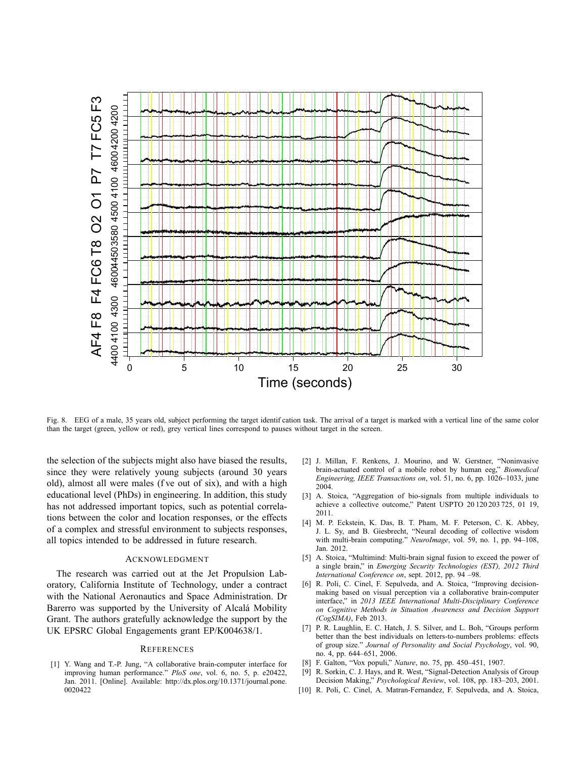

Fig. 8. EEG of a male, 35 years old, subject performing the target identif cation task. The arrival of a target is marked with a vertical line of the same color than the target (green, yellow or red), grey vertical lines correspond to pauses without target in the screen.

the selection of the subjects might also have biased the results, since they were relatively young subjects (around 30 years old), almost all were males (f ve out of six), and with a high educational level (PhDs) in engineering. In addition, this study has not addressed important topics, such as potential correlations between the color and location responses, or the effects of a complex and stressful environment to subjects responses, all topics intended to be addressed in future research.

## ACKNOWLEDGMENT

The research was carried out at the Jet Propulsion Laboratory, California Institute of Technology, under a contract with the National Aeronautics and Space Administration. Dr Barerro was supported by the University of Alcalá Mobility Grant. The authors gratefully acknowledge the support by the UK EPSRC Global Engagements grant EP/K004638/1.

#### **REFERENCES**

[1] Y. Wang and T.-P. Jung, "A collaborative brain-computer interface for improving human performance." *PloS one*, vol. 6, no. 5, p. e20422, Jan. 2011. [Online]. Available: http://dx.plos.org/10.1371/journal.pone. 0020422

- [2] J. Millan, F. Renkens, J. Mourino, and W. Gerstner, "Noninvasive brain-actuated control of a mobile robot by human eeg," *Biomedical Engineering, IEEE Transactions on*, vol. 51, no. 6, pp. 1026–1033, june 2004.
- [3] A. Stoica, "Aggregation of bio-signals from multiple individuals to achieve a collective outcome," Patent USPTO 20 120 203 725, 01 19, 2011.
- [4] M. P. Eckstein, K. Das, B. T. Pham, M. F. Peterson, C. K. Abbey, J. L. Sy, and B. Giesbrecht, "Neural decoding of collective wisdom with multi-brain computing." *NeuroImage*, vol. 59, no. 1, pp. 94–108, Jan. 2012.
- [5] A. Stoica, "Multimind: Multi-brain signal fusion to exceed the power of a single brain," in *Emerging Security Technologies (EST), 2012 Third International Conference on*, sept. 2012, pp. 94 –98.
- [6] R. Poli, C. Cinel, F. Sepulveda, and A. Stoica, "Improving decisionmaking based on visual perception via a collaborative brain-computer interface," in *2013 IEEE International Multi-Disciplinary Conference on Cognitive Methods in Situation Awareness and Decision Support (CogSIMA)*, Feb 2013.
- [7] P. R. Laughlin, E. C. Hatch, J. S. Silver, and L. Boh, "Groups perform better than the best individuals on letters-to-numbers problems: effects of group size." *Journal of Personality and Social Psychology*, vol. 90, no. 4, pp. 644–651, 2006.
- [8] F. Galton, "Vox populi," *Nature*, no. 75, pp. 450–451, 1907.
- [9] R. Sorkin, C. J. Hays, and R. West, "Signal-Detection Analysis of Group Decision Making," *Psychological Review*, vol. 108, pp. 183–203, 2001.
- [10] R. Poli, C. Cinel, A. Matran-Fernandez, F. Sepulveda, and A. Stoica,